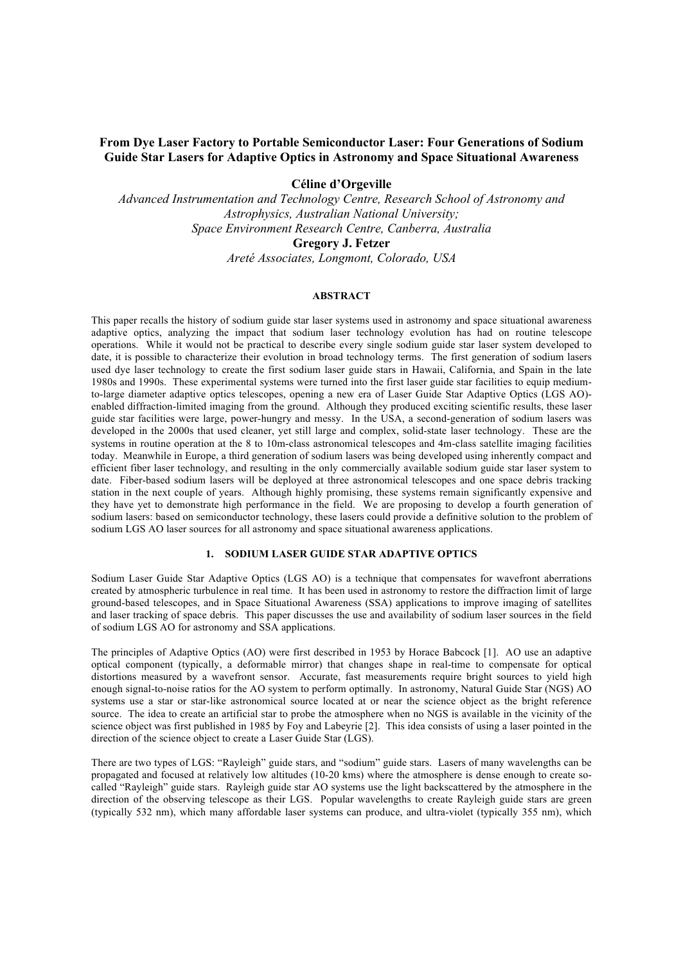# **From Dye Laser Factory to Portable Semiconductor Laser: Four Generations of Sodium Guide Star Lasers for Adaptive Optics in Astronomy and Space Situational Awareness**

**Céline d'Orgeville**

*Advanced Instrumentation and Technology Centre, Research School of Astronomy and Astrophysics, Australian National University; Space Environment Research Centre, Canberra, Australia* **Gregory J. Fetzer**

*Areté Associates, Longmont, Colorado, USA*

### **ABSTRACT**

This paper recalls the history of sodium guide star laser systems used in astronomy and space situational awareness adaptive optics, analyzing the impact that sodium laser technology evolution has had on routine telescope operations. While it would not be practical to describe every single sodium guide star laser system developed to date, it is possible to characterize their evolution in broad technology terms. The first generation of sodium lasers used dye laser technology to create the first sodium laser guide stars in Hawaii, California, and Spain in the late 1980s and 1990s. These experimental systems were turned into the first laser guide star facilities to equip mediumto-large diameter adaptive optics telescopes, opening a new era of Laser Guide Star Adaptive Optics (LGS AO) enabled diffraction-limited imaging from the ground. Although they produced exciting scientific results, these laser guide star facilities were large, power-hungry and messy. In the USA, a second-generation of sodium lasers was developed in the 2000s that used cleaner, yet still large and complex, solid-state laser technology. These are the systems in routine operation at the 8 to 10m-class astronomical telescopes and 4m-class satellite imaging facilities today. Meanwhile in Europe, a third generation of sodium lasers was being developed using inherently compact and efficient fiber laser technology, and resulting in the only commercially available sodium guide star laser system to date. Fiber-based sodium lasers will be deployed at three astronomical telescopes and one space debris tracking station in the next couple of years. Although highly promising, these systems remain significantly expensive and they have yet to demonstrate high performance in the field. We are proposing to develop a fourth generation of sodium lasers: based on semiconductor technology, these lasers could provide a definitive solution to the problem of sodium LGS AO laser sources for all astronomy and space situational awareness applications.

#### **1. SODIUM LASER GUIDE STAR ADAPTIVE OPTICS**

Sodium Laser Guide Star Adaptive Optics (LGS AO) is a technique that compensates for wavefront aberrations created by atmospheric turbulence in real time. It has been used in astronomy to restore the diffraction limit of large ground-based telescopes, and in Space Situational Awareness (SSA) applications to improve imaging of satellites and laser tracking of space debris. This paper discusses the use and availability of sodium laser sources in the field of sodium LGS AO for astronomy and SSA applications.

The principles of Adaptive Optics (AO) were first described in 1953 by Horace Babcock [1]. AO use an adaptive optical component (typically, a deformable mirror) that changes shape in real-time to compensate for optical distortions measured by a wavefront sensor. Accurate, fast measurements require bright sources to yield high enough signal-to-noise ratios for the AO system to perform optimally. In astronomy, Natural Guide Star (NGS) AO systems use a star or star-like astronomical source located at or near the science object as the bright reference source. The idea to create an artificial star to probe the atmosphere when no NGS is available in the vicinity of the science object was first published in 1985 by Foy and Labeyrie [2]. This idea consists of using a laser pointed in the direction of the science object to create a Laser Guide Star (LGS).

There are two types of LGS: "Rayleigh" guide stars, and "sodium" guide stars. Lasers of many wavelengths can be propagated and focused at relatively low altitudes (10-20 kms) where the atmosphere is dense enough to create socalled "Rayleigh" guide stars. Rayleigh guide star AO systems use the light backscattered by the atmosphere in the direction of the observing telescope as their LGS. Popular wavelengths to create Rayleigh guide stars are green (typically 532 nm), which many affordable laser systems can produce, and ultra-violet (typically 355 nm), which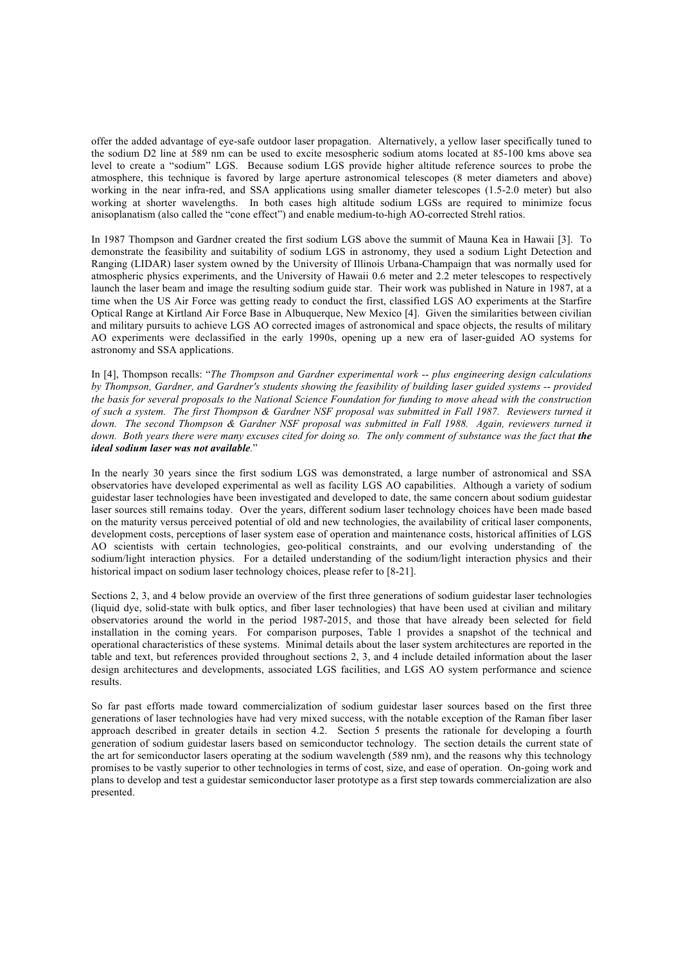offer the added advantage of eye-safe outdoor laser propagation. Alternatively, a yellow laser specifically tuned to the sodium D2 line at 589 nm can be used to excite mesospheric sodium atoms located at 85-100 kms above sea level to create a "sodium" LGS. Because sodium LGS provide higher altitude reference sources to probe the atmosphere, this technique is favored by large aperture astronomical telescopes (8 meter diameters and above) working in the near infra-red, and SSA applications using smaller diameter telescopes (1.5-2.0 meter) but also working at shorter wavelengths. In both cases high altitude sodium LGSs are required to minimize focus anisoplanatism (also called the "cone effect") and enable medium-to-high AO-corrected Strehl ratios.

In 1987 Thompson and Gardner created the first sodium LGS above the summit of Mauna Kea in Hawaii [3]. To demonstrate the feasibility and suitability of sodium LGS in astronomy, they used a sodium Light Detection and Ranging (LIDAR) laser system owned by the University of Illinois Urbana-Champaign that was normally used for atmospheric physics experiments, and the University of Hawaii 0.6 meter and 2.2 meter telescopes to respectively launch the laser beam and image the resulting sodium guide star. Their work was published in Nature in 1987, at a time when the US Air Force was getting ready to conduct the first, classified LGS AO experiments at the Starfire Optical Range at Kirtland Air Force Base in Albuquerque, New Mexico [4]. Given the similarities between civilian and military pursuits to achieve LGS AO corrected images of astronomical and space objects, the results of military AO experiments were declassified in the early 1990s, opening up a new era of laser-guided AO systems for astronomy and SSA applications.

In [4], Thompson recalls: "*The Thompson and Gardner experimental work -- plus engineering design calculations by Thompson, Gardner, and Gardner's students showing the feasibility of building laser guided systems -- provided the basis for several proposals to the National Science Foundation for funding to move ahead with the construction of such a system. The first Thompson & Gardner NSF proposal was submitted in Fall 1987. Reviewers turned it down. The second Thompson & Gardner NSF proposal was submitted in Fall 1988. Again, reviewers turned it*  down. Both years there were many excuses cited for doing so. The only comment of substance was the fact that **the** *ideal sodium laser was not available.*"

In the nearly 30 years since the first sodium LGS was demonstrated, a large number of astronomical and SSA observatories have developed experimental as well as facility LGS AO capabilities. Although a variety of sodium guidestar laser technologies have been investigated and developed to date, the same concern about sodium guidestar laser sources still remains today. Over the years, different sodium laser technology choices have been made based on the maturity versus perceived potential of old and new technologies, the availability of critical laser components, development costs, perceptions of laser system ease of operation and maintenance costs, historical affinities of LGS AO scientists with certain technologies, geo-political constraints, and our evolving understanding of the sodium/light interaction physics. For a detailed understanding of the sodium/light interaction physics and their historical impact on sodium laser technology choices, please refer to [8-21].

Sections 2, 3, and 4 below provide an overview of the first three generations of sodium guidestar laser technologies (liquid dye, solid-state with bulk optics, and fiber laser technologies) that have been used at civilian and military observatories around the world in the period 1987-2015, and those that have already been selected for field installation in the coming years. For comparison purposes, Table 1 provides a snapshot of the technical and operational characteristics of these systems. Minimal details about the laser system architectures are reported in the table and text, but references provided throughout sections 2, 3, and 4 include detailed information about the laser design architectures and developments, associated LGS facilities, and LGS AO system performance and science results.

So far past efforts made toward commercialization of sodium guidestar laser sources based on the first three generations of laser technologies have had very mixed success, with the notable exception of the Raman fiber laser approach described in greater details in section 4.2. Section 5 presents the rationale for developing a fourth generation of sodium guidestar lasers based on semiconductor technology. The section details the current state of the art for semiconductor lasers operating at the sodium wavelength (589 nm), and the reasons why this technology promises to be vastly superior to other technologies in terms of cost, size, and ease of operation. On-going work and plans to develop and test a guidestar semiconductor laser prototype as a first step towards commercialization are also presented.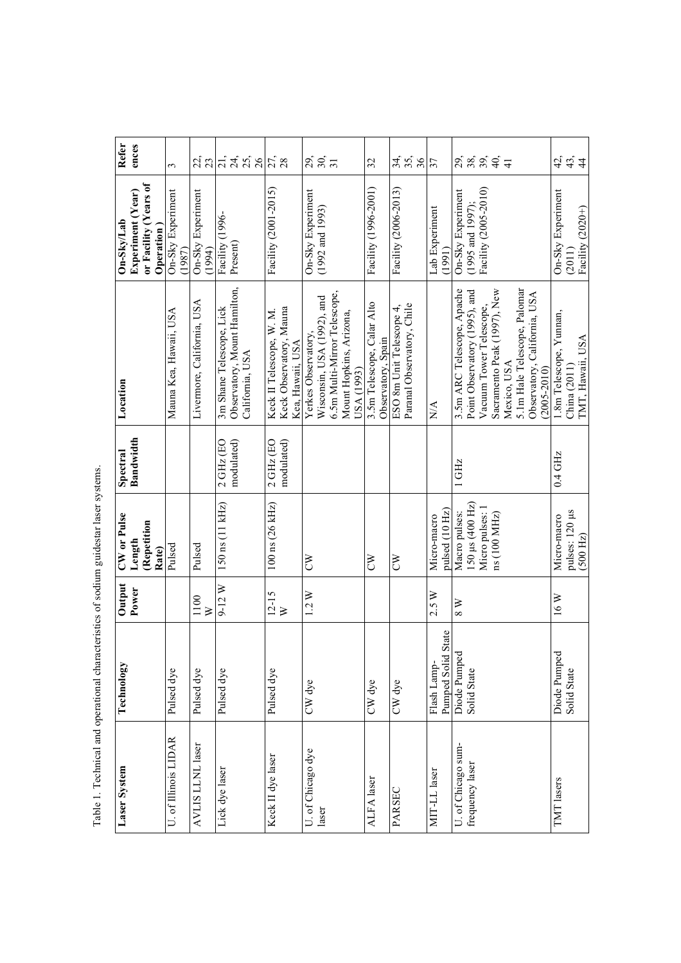| <b>Laser System</b>                   | Technology                           | Output            | CW or Pulse                                                                            | Spectral                  | Location                                                                                                                                                                                                                | $On-Skv/Lab$                                                       | Refer                                                                                                                                                                                                                                                                                                         |
|---------------------------------------|--------------------------------------|-------------------|----------------------------------------------------------------------------------------|---------------------------|-------------------------------------------------------------------------------------------------------------------------------------------------------------------------------------------------------------------------|--------------------------------------------------------------------|---------------------------------------------------------------------------------------------------------------------------------------------------------------------------------------------------------------------------------------------------------------------------------------------------------------|
|                                       |                                      | Power             | Length                                                                                 | <b>Bandwidth</b>          |                                                                                                                                                                                                                         | Experiment (Year)                                                  | ences                                                                                                                                                                                                                                                                                                         |
|                                       |                                      |                   | (Repetition<br>Rate)                                                                   |                           |                                                                                                                                                                                                                         | or Facility (Years of<br>Operation                                 |                                                                                                                                                                                                                                                                                                               |
| U. of Illinois LIDAR                  | Pulsed dye                           |                   | Pulsed                                                                                 |                           | Mauna Kea, Hawaii, USA                                                                                                                                                                                                  | On-Sky Experiment<br>(1987)                                        | Σ                                                                                                                                                                                                                                                                                                             |
| AVLIS LLNL laser                      | Pulsed dye                           | 1100<br>$\geq$    | Pulsed                                                                                 |                           | Livermore, California, USA                                                                                                                                                                                              | On-Sky Experiment<br>(1994)                                        | 22,                                                                                                                                                                                                                                                                                                           |
| Lick dye laser                        | Pulsed dye                           | $9-12$ W          | 150 ns (11 kHz)                                                                        | modulated)<br>$2$ GHz (EO | Observatory, Mount Hamilton,<br>3m Shane Telescope, Lick<br>California, USA                                                                                                                                             | Facility (1996-<br>Present)                                        | ส์ ส <i>ู</i> ่ หา๊ 8                                                                                                                                                                                                                                                                                         |
| Keck II dye laser                     | Pulsed dye                           | $\frac{12-15}{W}$ | $100 \text{ ns} (26 \text{ kHz})$                                                      | modulated)<br>$2$ GHz (EO | Keck Observatory, Mauna<br>Keck II Telescope, W. M.<br>Kea, Hawaii, USA                                                                                                                                                 | Facility (2001-2015)                                               | 27,                                                                                                                                                                                                                                                                                                           |
| U. of Chicago dye<br>laser            | $CW$ dye                             | 1.2 W             | Š                                                                                      |                           | 6.5m Multi-Mirror Telescope,<br>Wisconsin, USA (1992), and<br>Mount Hopkins, Arizona,<br>Yerkes Observatory,<br>USA (1993)                                                                                              | On-Sky Experiment<br>$(1992 \text{ and } 1993)$                    | 29, 6, 7                                                                                                                                                                                                                                                                                                      |
| ALFA laser                            | CW dye                               |                   | Š                                                                                      |                           | 3.5m Telescope, Calar Alto<br>Observatory, Spain                                                                                                                                                                        | Facility (1996-2001)                                               | 32                                                                                                                                                                                                                                                                                                            |
| PARSEC                                | $CW$ dye                             |                   | Š                                                                                      |                           | Paranal Observatory, Chile<br>ESO 8m Unit Telescope 4                                                                                                                                                                   | Facility (2006-2013)                                               | 34,<br>35, 36                                                                                                                                                                                                                                                                                                 |
| MIT-LL laser                          | State<br>Pumped Solid<br>Flash Lamp- | 2.5 W             | pulsed (10 Hz)<br>Micro-macro                                                          |                           | $\frac{\mathbf{A}}{\mathbf{A}}$                                                                                                                                                                                         | Lab Experiment<br>(1991)                                           | 57                                                                                                                                                                                                                                                                                                            |
| U. of Chicago sum-<br>frequency laser | Diode Pumped<br>Solid State          | $8\,$ W           | $150 \text{ }\mu\text{s}$ (400 Hz)<br>Micro pulses: 1<br>ns (100 MHz)<br>Macro pulses: | 1 GHz                     | 5.1m Hale Telescope, Palomar<br>3.5m ARC Telescope, Apache<br>Point Observatory (1995), and<br>Sacramento Peak (1997), New<br>Observatory, California, USA<br>Vacuum Tower Telescope,<br>Mexico, USA<br>$(2005 - 2010)$ | Facility (2005-2010)<br>On-Sky Experiment<br>$(1995$ and $1997$ ): | $\begin{array}{c} 2.80 \\ 2.40 \\ 2.40 \\ 2.40 \\ 2.40 \\ 2.40 \\ 2.40 \\ 2.40 \\ 2.40 \\ 2.40 \\ 2.40 \\ 2.40 \\ 2.40 \\ 2.40 \\ 2.40 \\ 2.40 \\ 2.40 \\ 2.40 \\ 2.40 \\ 2.40 \\ 2.40 \\ 2.40 \\ 2.40 \\ 2.40 \\ 2.40 \\ 2.40 \\ 2.40 \\ 2.40 \\ 2.40 \\ 2.40 \\ 2.40 \\ 2.40 \\ 2.40 \\ 2.40 \\ 2.40 \\ 2.$ |
| TMT lasers                            | Diode Pumped<br>Solid State          | $16 W$            | pulses: 120 µs<br>Micro-macro<br>(500 Hz)                                              | $0.4$ GHz                 | 1.8m Telescope, Yunnan,<br>TMT, Hawaii, USA<br>China (2011)                                                                                                                                                             | On-Sky Experiment<br>Facility (2020+)<br>(2011)                    | 42,<br>$4\frac{4}{4}$                                                                                                                                                                                                                                                                                         |

|   | - 14 m m m m m m<br>֧֧֢ׅ֧֧֧֧֧֧֧֚֚֚֚֚֚֚֚֚֚֚֚֚֚֚֚֚֚֚֚֚֚֚֚֚֚֚֚֚֓֓֓֓֞֓֓֓֡֓֓֓֡֓֓֡֓֓֞֓֡֓֓֞֓֡֬֓֓֞֓֝֬֝֬֝֬֝֬֝֬֝֬ |
|---|---------------------------------------------------------------------------------------------------------|
|   | i<br>)                                                                                                  |
|   | $-2$                                                                                                    |
|   |                                                                                                         |
|   | くらに へいへいしょう<br>こうかい こうさん<br>l                                                                           |
| l | י<br>י                                                                                                  |
| j | l                                                                                                       |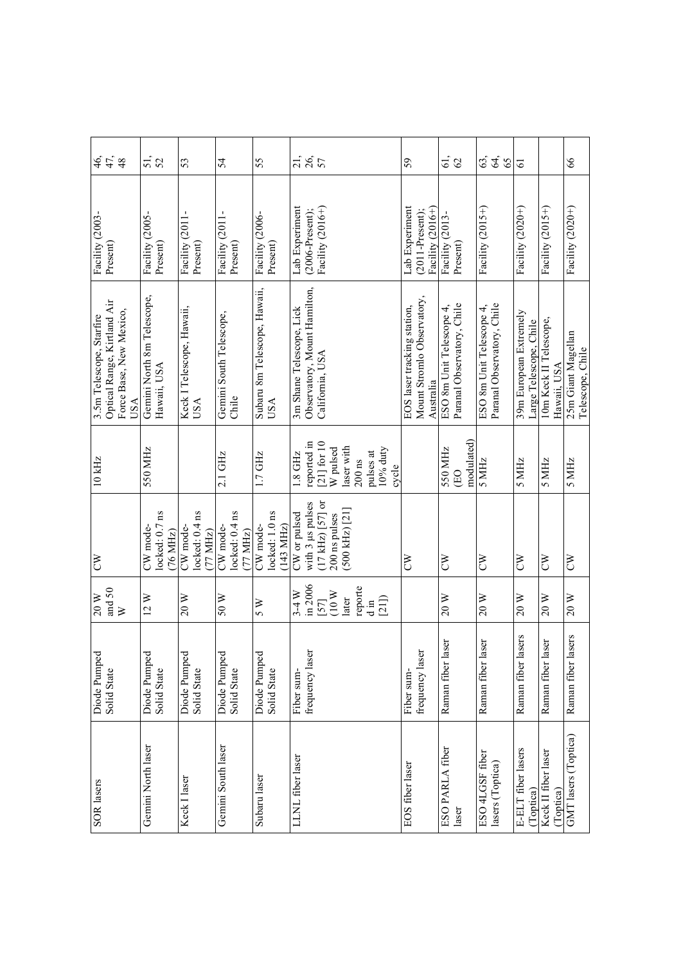| 4 <i>4 4</i><br>4 4 4                                                                     | 52,                                       | 53                                               | 54                                               | 55                                                | 21,<br>26,<br>57                                                                                                     | 59                                                                     | ธิ 2<br>62                                             | 63,<br>64,<br>65                                       | $\overline{6}$                                   |                                       | 66                                     |
|-------------------------------------------------------------------------------------------|-------------------------------------------|--------------------------------------------------|--------------------------------------------------|---------------------------------------------------|----------------------------------------------------------------------------------------------------------------------|------------------------------------------------------------------------|--------------------------------------------------------|--------------------------------------------------------|--------------------------------------------------|---------------------------------------|----------------------------------------|
| Facility (2003<br>Present)                                                                | (2005<br>Facility (<br>Present)           | Facility (2011<br>Present)                       | Facility (2011<br>Present)                       | Facility (2006-<br>Present)                       | Facility (2016+)<br>Lab Experiment<br>$(2006-Present);$                                                              | Lab Experiment<br>Facility (2016+)<br>$(2011-Present);$                | Facility (2013-<br>Present)                            | Facility (2015+)                                       | Facility (2020+)                                 | Facility (2015+)                      | Facility (2020+)                       |
| Optical Range, Kirtland Air<br>Force Base, New Mexico,<br>3.5m Telescope, Starfire<br>USA | Gemini North 8m Telescope,<br>Hawaii, USA | Keck I Telescope, Hawaii,<br>USA                 | Gemini South Telescope,<br>Chile                 | Subaru 8m Telescope, Hawaii,<br>USA               | Observatory, Mount Hamilton,<br>3m Shane Telescope, Lick<br>California, USA                                          | Mount Stromlo Observatory,<br>EOS laser tracking station,<br>Australia | Paranal Observatory, Chile<br>ESO 8m Unit Telescope 4, | Paranal Observatory, Chile<br>ESO 8m Unit Telescope 4, | 39m European Extremely<br>Large Telescope, Chile | 10m Keck II Telescope,<br>Hawaii, USA | 25m Giant Magellan<br>Telescope, Chile |
| $10$ kHz                                                                                  | 550 MHz                                   |                                                  | 2.1 GHz                                          | $1.7$ GHz                                         | reported in<br>$[21]$ for $10$<br>laser with<br>W pulsed<br>$10\%$ duty<br>pulses at<br>L.8 GHz<br>$200$ ns<br>cycle |                                                                        | modulated)<br>550 MHz<br><b>EO</b>                     | 5 MHz                                                  | 5 MHz                                            | 5 MHz                                 | $5$ MHz                                |
| Š                                                                                         | locked: 0.7 ns<br>$CW$ mode-<br>(76 MHz)  | locked: 0.4 ns<br>CW mode-<br>$(77 \text{ MHz})$ | locked: 0.4 ns<br>CW mode-<br>$(77 \text{ MHz})$ | locked: 1.0 ns<br>$(143 \text{ MHz})$<br>CW mode- | with 3 µs pulses<br>$(17$ kHz) $\left[57\right]$ or<br>$500$ kHz) [21]<br>200 ns pulses<br>CW or pulsed              | Š                                                                      | $\mathcal{E}$                                          | Š                                                      | Š                                                | <b>KO</b>                             | Š                                      |
| and $50$<br>$20\ \rm{W}$<br>$\geq$                                                        | 12 W                                      | $20\ \rm W$                                      | 50 W                                             | 5 N                                               | in 2006<br>reporte<br>(10 W)<br>$3-4W$<br>later<br>[21]<br>$\frac{1}{d}$ in<br>$[57]$                                |                                                                        | 20 W                                                   | 20 W                                                   | 20 W                                             | $20\ \rm{W}$                          | 20 W                                   |
| Diode Pumped<br>Solid State                                                               | Diode Pumped<br>Solid State               | Diode Pumped<br>Solid State                      | Diode Pumped<br>Solid State                      | Diode Pumped<br>Solid State                       | frequency laser<br>Fiber sum-                                                                                        | frequency laser<br>Fiber sum-                                          | Raman fiber laser                                      | Raman fiber laser                                      | Raman fiber lasers                               | Raman fiber laser                     | Raman fiber lasers                     |
| <b>SOR</b> lasers                                                                         | Gemini North laser                        | Keck I laser                                     | Gemini South laser                               | Subaru laser                                      | LLNL fiber laser                                                                                                     | EOS fiber laser                                                        | ESO PARLA fiber<br>laser                               | ESO 4LGSF fiber<br>lasers (Toptica)                    | <b>E-ELT</b> fiber lasers<br>(Toptica)           | Keck II fiber laser<br>Toptica)       | GMT lasers (Toptica)                   |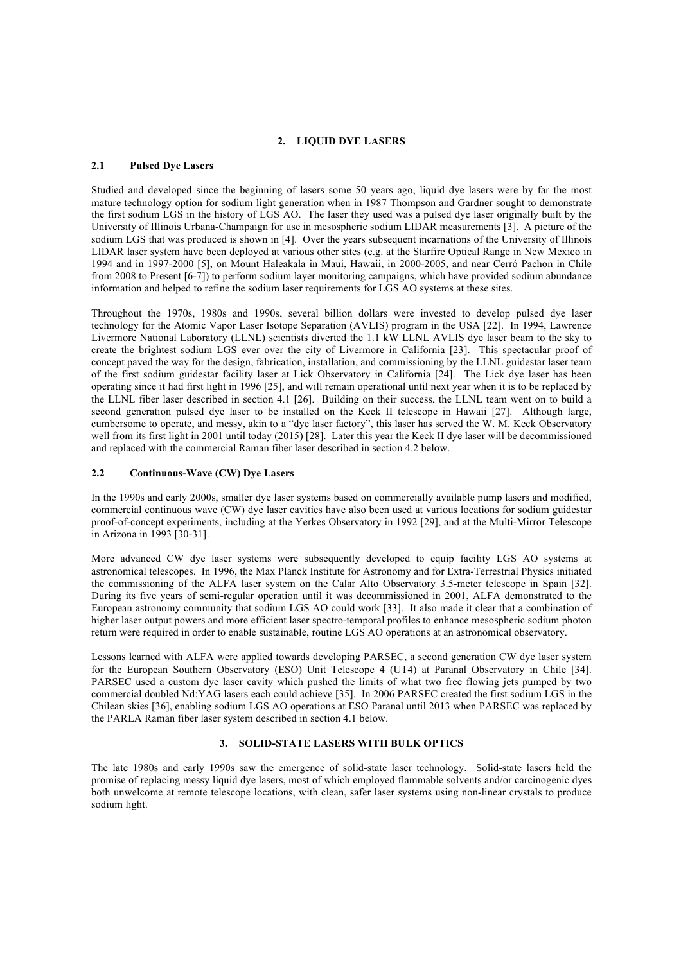### **2. LIQUID DYE LASERS**

#### **2.1 Pulsed Dye Lasers**

Studied and developed since the beginning of lasers some 50 years ago, liquid dye lasers were by far the most mature technology option for sodium light generation when in 1987 Thompson and Gardner sought to demonstrate the first sodium LGS in the history of LGS AO. The laser they used was a pulsed dye laser originally built by the University of Illinois Urbana-Champaign for use in mesospheric sodium LIDAR measurements [3]. A picture of the sodium LGS that was produced is shown in [4]. Over the years subsequent incarnations of the University of Illinois LIDAR laser system have been deployed at various other sites (e.g. at the Starfire Optical Range in New Mexico in 1994 and in 1997-2000 [5], on Mount Haleakala in Maui, Hawaii, in 2000-2005, and near Cerró Pachon in Chile from 2008 to Present [6-7]) to perform sodium layer monitoring campaigns, which have provided sodium abundance information and helped to refine the sodium laser requirements for LGS AO systems at these sites.

Throughout the 1970s, 1980s and 1990s, several billion dollars were invested to develop pulsed dye laser technology for the Atomic Vapor Laser Isotope Separation (AVLIS) program in the USA [22]. In 1994, Lawrence Livermore National Laboratory (LLNL) scientists diverted the 1.1 kW LLNL AVLIS dye laser beam to the sky to create the brightest sodium LGS ever over the city of Livermore in California [23]. This spectacular proof of concept paved the way for the design, fabrication, installation, and commissioning by the LLNL guidestar laser team of the first sodium guidestar facility laser at Lick Observatory in California [24]. The Lick dye laser has been operating since it had first light in 1996 [25], and will remain operational until next year when it is to be replaced by the LLNL fiber laser described in section 4.1 [26]. Building on their success, the LLNL team went on to build a second generation pulsed dye laser to be installed on the Keck II telescope in Hawaii [27]. Although large, cumbersome to operate, and messy, akin to a "dye laser factory", this laser has served the W. M. Keck Observatory well from its first light in 2001 until today (2015) [28]. Later this year the Keck II dye laser will be decommissioned and replaced with the commercial Raman fiber laser described in section 4.2 below.

### **2.2 Continuous-Wave (CW) Dye Lasers**

In the 1990s and early 2000s, smaller dye laser systems based on commercially available pump lasers and modified, commercial continuous wave (CW) dye laser cavities have also been used at various locations for sodium guidestar proof-of-concept experiments, including at the Yerkes Observatory in 1992 [29], and at the Multi-Mirror Telescope in Arizona in 1993 [30-31].

More advanced CW dye laser systems were subsequently developed to equip facility LGS AO systems at astronomical telescopes. In 1996, the Max Planck Institute for Astronomy and for Extra-Terrestrial Physics initiated the commissioning of the ALFA laser system on the Calar Alto Observatory 3.5-meter telescope in Spain [32]. During its five years of semi-regular operation until it was decommissioned in 2001, ALFA demonstrated to the European astronomy community that sodium LGS AO could work [33]. It also made it clear that a combination of higher laser output powers and more efficient laser spectro-temporal profiles to enhance mesospheric sodium photon return were required in order to enable sustainable, routine LGS AO operations at an astronomical observatory.

Lessons learned with ALFA were applied towards developing PARSEC, a second generation CW dye laser system for the European Southern Observatory (ESO) Unit Telescope 4 (UT4) at Paranal Observatory in Chile [34]. PARSEC used a custom dye laser cavity which pushed the limits of what two free flowing jets pumped by two commercial doubled Nd:YAG lasers each could achieve [35]. In 2006 PARSEC created the first sodium LGS in the Chilean skies [36], enabling sodium LGS AO operations at ESO Paranal until 2013 when PARSEC was replaced by the PARLA Raman fiber laser system described in section 4.1 below.

## **3. SOLID-STATE LASERS WITH BULK OPTICS**

The late 1980s and early 1990s saw the emergence of solid-state laser technology. Solid-state lasers held the promise of replacing messy liquid dye lasers, most of which employed flammable solvents and/or carcinogenic dyes both unwelcome at remote telescope locations, with clean, safer laser systems using non-linear crystals to produce sodium light.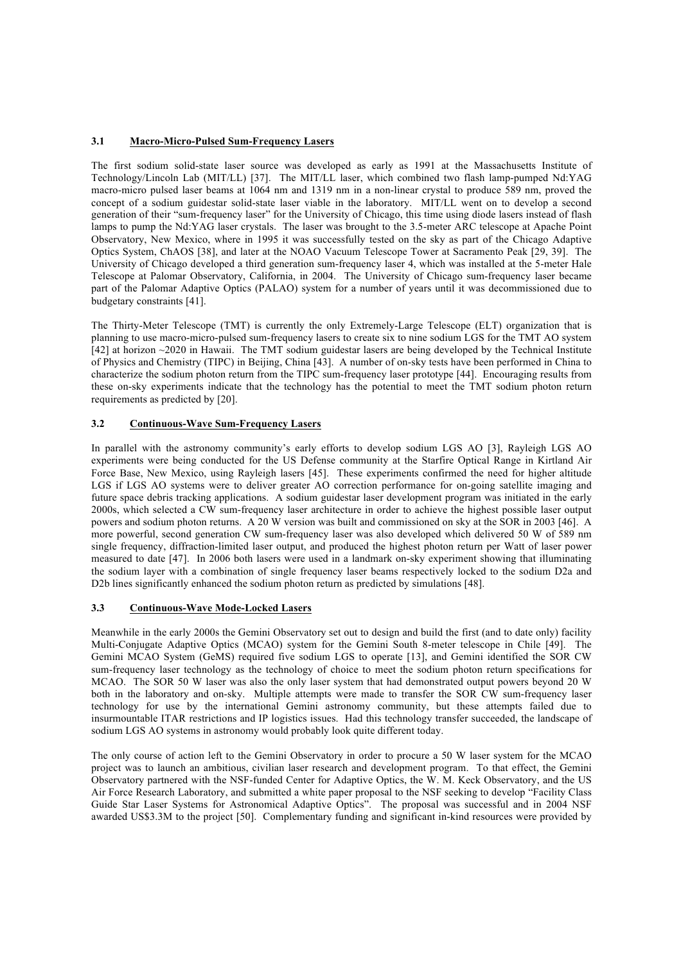## **3.1 Macro-Micro-Pulsed Sum-Frequency Lasers**

The first sodium solid-state laser source was developed as early as 1991 at the Massachusetts Institute of Technology/Lincoln Lab (MIT/LL) [37]. The MIT/LL laser, which combined two flash lamp-pumped Nd:YAG macro-micro pulsed laser beams at 1064 nm and 1319 nm in a non-linear crystal to produce 589 nm, proved the concept of a sodium guidestar solid-state laser viable in the laboratory. MIT/LL went on to develop a second generation of their "sum-frequency laser" for the University of Chicago, this time using diode lasers instead of flash lamps to pump the Nd:YAG laser crystals. The laser was brought to the 3.5-meter ARC telescope at Apache Point Observatory, New Mexico, where in 1995 it was successfully tested on the sky as part of the Chicago Adaptive Optics System, ChAOS [38], and later at the NOAO Vacuum Telescope Tower at Sacramento Peak [29, 39]. The University of Chicago developed a third generation sum-frequency laser 4, which was installed at the 5-meter Hale Telescope at Palomar Observatory, California, in 2004. The University of Chicago sum-frequency laser became part of the Palomar Adaptive Optics (PALAO) system for a number of years until it was decommissioned due to budgetary constraints [41].

The Thirty-Meter Telescope (TMT) is currently the only Extremely-Large Telescope (ELT) organization that is planning to use macro-micro-pulsed sum-frequency lasers to create six to nine sodium LGS for the TMT AO system [42] at horizon ~2020 in Hawaii. The TMT sodium guidestar lasers are being developed by the Technical Institute of Physics and Chemistry (TIPC) in Beijing, China [43]. A number of on-sky tests have been performed in China to characterize the sodium photon return from the TIPC sum-frequency laser prototype [44]. Encouraging results from these on-sky experiments indicate that the technology has the potential to meet the TMT sodium photon return requirements as predicted by [20].

### **3.2 Continuous-Wave Sum-Frequency Lasers**

In parallel with the astronomy community's early efforts to develop sodium LGS AO [3], Rayleigh LGS AO experiments were being conducted for the US Defense community at the Starfire Optical Range in Kirtland Air Force Base, New Mexico, using Rayleigh lasers [45]. These experiments confirmed the need for higher altitude LGS if LGS AO systems were to deliver greater AO correction performance for on-going satellite imaging and future space debris tracking applications. A sodium guidestar laser development program was initiated in the early 2000s, which selected a CW sum-frequency laser architecture in order to achieve the highest possible laser output powers and sodium photon returns. A 20 W version was built and commissioned on sky at the SOR in 2003 [46]. A more powerful, second generation CW sum-frequency laser was also developed which delivered 50 W of 589 nm single frequency, diffraction-limited laser output, and produced the highest photon return per Watt of laser power measured to date [47]. In 2006 both lasers were used in a landmark on-sky experiment showing that illuminating the sodium layer with a combination of single frequency laser beams respectively locked to the sodium D2a and D<sub>2b</sub> lines significantly enhanced the sodium photon return as predicted by simulations [48].

# **3.3 Continuous-Wave Mode-Locked Lasers**

Meanwhile in the early 2000s the Gemini Observatory set out to design and build the first (and to date only) facility Multi-Conjugate Adaptive Optics (MCAO) system for the Gemini South 8-meter telescope in Chile [49]. The Gemini MCAO System (GeMS) required five sodium LGS to operate [13], and Gemini identified the SOR CW sum-frequency laser technology as the technology of choice to meet the sodium photon return specifications for MCAO. The SOR 50 W laser was also the only laser system that had demonstrated output powers beyond 20 W both in the laboratory and on-sky. Multiple attempts were made to transfer the SOR CW sum-frequency laser technology for use by the international Gemini astronomy community, but these attempts failed due to insurmountable ITAR restrictions and IP logistics issues. Had this technology transfer succeeded, the landscape of sodium LGS AO systems in astronomy would probably look quite different today.

The only course of action left to the Gemini Observatory in order to procure a 50 W laser system for the MCAO project was to launch an ambitious, civilian laser research and development program. To that effect, the Gemini Observatory partnered with the NSF-funded Center for Adaptive Optics, the W. M. Keck Observatory, and the US Air Force Research Laboratory, and submitted a white paper proposal to the NSF seeking to develop "Facility Class Guide Star Laser Systems for Astronomical Adaptive Optics". The proposal was successful and in 2004 NSF awarded US\$3.3M to the project [50]. Complementary funding and significant in-kind resources were provided by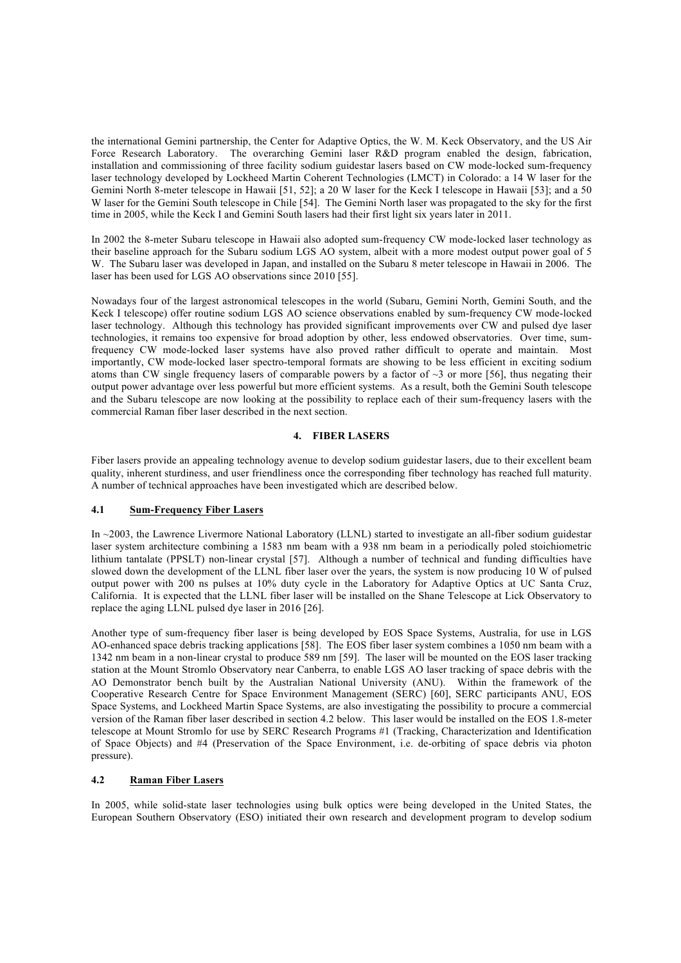the international Gemini partnership, the Center for Adaptive Optics, the W. M. Keck Observatory, and the US Air Force Research Laboratory. The overarching Gemini laser R&D program enabled the design, fabrication, installation and commissioning of three facility sodium guidestar lasers based on CW mode-locked sum-frequency laser technology developed by Lockheed Martin Coherent Technologies (LMCT) in Colorado: a 14 W laser for the Gemini North 8-meter telescope in Hawaii [51, 52]; a 20 W laser for the Keck I telescope in Hawaii [53]; and a 50 W laser for the Gemini South telescope in Chile [54]. The Gemini North laser was propagated to the sky for the first time in 2005, while the Keck I and Gemini South lasers had their first light six years later in 2011.

In 2002 the 8-meter Subaru telescope in Hawaii also adopted sum-frequency CW mode-locked laser technology as their baseline approach for the Subaru sodium LGS AO system, albeit with a more modest output power goal of 5 W. The Subaru laser was developed in Japan, and installed on the Subaru 8 meter telescope in Hawaii in 2006. The laser has been used for LGS AO observations since 2010 [55].

Nowadays four of the largest astronomical telescopes in the world (Subaru, Gemini North, Gemini South, and the Keck I telescope) offer routine sodium LGS AO science observations enabled by sum-frequency CW mode-locked laser technology. Although this technology has provided significant improvements over CW and pulsed dye laser technologies, it remains too expensive for broad adoption by other, less endowed observatories. Over time, sumfrequency CW mode-locked laser systems have also proved rather difficult to operate and maintain. Most importantly, CW mode-locked laser spectro-temporal formats are showing to be less efficient in exciting sodium atoms than CW single frequency lasers of comparable powers by a factor of  $\sim$ 3 or more [56], thus negating their output power advantage over less powerful but more efficient systems. As a result, both the Gemini South telescope and the Subaru telescope are now looking at the possibility to replace each of their sum-frequency lasers with the commercial Raman fiber laser described in the next section.

#### **4. FIBER LASERS**

Fiber lasers provide an appealing technology avenue to develop sodium guidestar lasers, due to their excellent beam quality, inherent sturdiness, and user friendliness once the corresponding fiber technology has reached full maturity. A number of technical approaches have been investigated which are described below.

#### **4.1 Sum-Frequency Fiber Lasers**

In ~2003, the Lawrence Livermore National Laboratory (LLNL) started to investigate an all-fiber sodium guidestar laser system architecture combining a 1583 nm beam with a 938 nm beam in a periodically poled stoichiometric lithium tantalate (PPSLT) non-linear crystal [57]. Although a number of technical and funding difficulties have slowed down the development of the LLNL fiber laser over the years, the system is now producing 10 W of pulsed output power with 200 ns pulses at 10% duty cycle in the Laboratory for Adaptive Optics at UC Santa Cruz, California. It is expected that the LLNL fiber laser will be installed on the Shane Telescope at Lick Observatory to replace the aging LLNL pulsed dye laser in 2016 [26].

Another type of sum-frequency fiber laser is being developed by EOS Space Systems, Australia, for use in LGS AO-enhanced space debris tracking applications [58]. The EOS fiber laser system combines a 1050 nm beam with a 1342 nm beam in a non-linear crystal to produce 589 nm [59]. The laser will be mounted on the EOS laser tracking station at the Mount Stromlo Observatory near Canberra, to enable LGS AO laser tracking of space debris with the AO Demonstrator bench built by the Australian National University (ANU). Within the framework of the Cooperative Research Centre for Space Environment Management (SERC) [60], SERC participants ANU, EOS Space Systems, and Lockheed Martin Space Systems, are also investigating the possibility to procure a commercial version of the Raman fiber laser described in section 4.2 below. This laser would be installed on the EOS 1.8-meter telescope at Mount Stromlo for use by SERC Research Programs #1 (Tracking, Characterization and Identification of Space Objects) and #4 (Preservation of the Space Environment, i.e. de-orbiting of space debris via photon pressure).

# **4.2 Raman Fiber Lasers**

In 2005, while solid-state laser technologies using bulk optics were being developed in the United States, the European Southern Observatory (ESO) initiated their own research and development program to develop sodium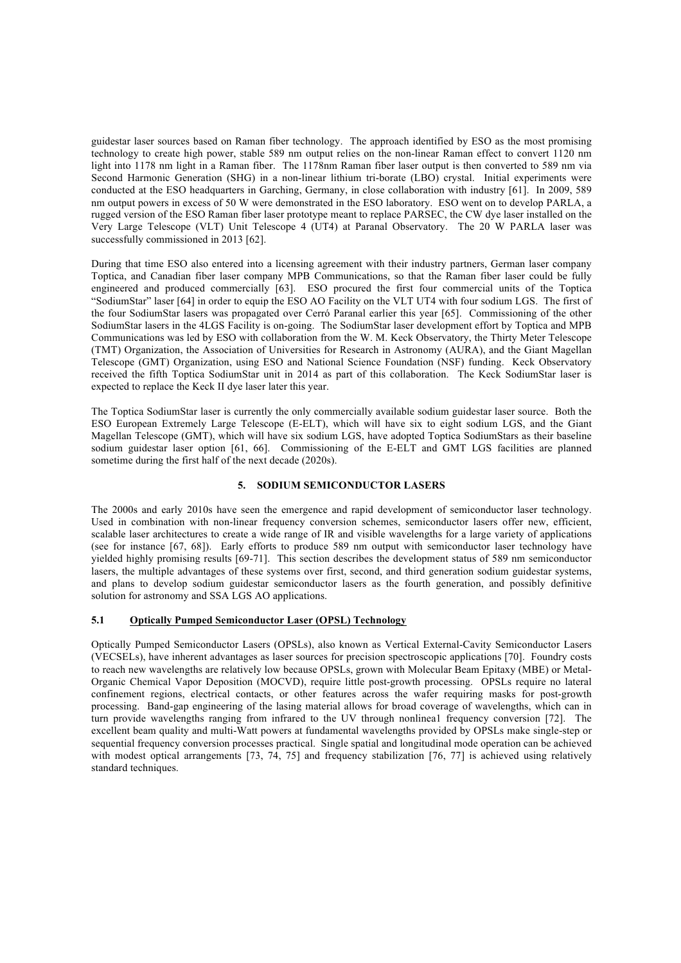guidestar laser sources based on Raman fiber technology. The approach identified by ESO as the most promising technology to create high power, stable 589 nm output relies on the non-linear Raman effect to convert 1120 nm light into 1178 nm light in a Raman fiber. The 1178nm Raman fiber laser output is then converted to 589 nm via Second Harmonic Generation (SHG) in a non-linear lithium tri-borate (LBO) crystal. Initial experiments were conducted at the ESO headquarters in Garching, Germany, in close collaboration with industry [61]. In 2009, 589 nm output powers in excess of 50 W were demonstrated in the ESO laboratory. ESO went on to develop PARLA, a rugged version of the ESO Raman fiber laser prototype meant to replace PARSEC, the CW dye laser installed on the Very Large Telescope (VLT) Unit Telescope 4 (UT4) at Paranal Observatory. The 20 W PARLA laser was successfully commissioned in 2013 [62].

During that time ESO also entered into a licensing agreement with their industry partners, German laser company Toptica, and Canadian fiber laser company MPB Communications, so that the Raman fiber laser could be fully engineered and produced commercially [63]. ESO procured the first four commercial units of the Toptica "SodiumStar" laser [64] in order to equip the ESO AO Facility on the VLT UT4 with four sodium LGS. The first of the four SodiumStar lasers was propagated over Cerró Paranal earlier this year [65]. Commissioning of the other SodiumStar lasers in the 4LGS Facility is on-going. The SodiumStar laser development effort by Toptica and MPB Communications was led by ESO with collaboration from the W. M. Keck Observatory, the Thirty Meter Telescope (TMT) Organization, the Association of Universities for Research in Astronomy (AURA), and the Giant Magellan Telescope (GMT) Organization, using ESO and National Science Foundation (NSF) funding. Keck Observatory received the fifth Toptica SodiumStar unit in 2014 as part of this collaboration. The Keck SodiumStar laser is expected to replace the Keck II dye laser later this year.

The Toptica SodiumStar laser is currently the only commercially available sodium guidestar laser source. Both the ESO European Extremely Large Telescope (E-ELT), which will have six to eight sodium LGS, and the Giant Magellan Telescope (GMT), which will have six sodium LGS, have adopted Toptica SodiumStars as their baseline sodium guidestar laser option [61, 66]. Commissioning of the E-ELT and GMT LGS facilities are planned sometime during the first half of the next decade (2020s).

#### **5. SODIUM SEMICONDUCTOR LASERS**

The 2000s and early 2010s have seen the emergence and rapid development of semiconductor laser technology. Used in combination with non-linear frequency conversion schemes, semiconductor lasers offer new, efficient, scalable laser architectures to create a wide range of IR and visible wavelengths for a large variety of applications (see for instance [67, 68]). Early efforts to produce 589 nm output with semiconductor laser technology have yielded highly promising results [69-71]. This section describes the development status of 589 nm semiconductor lasers, the multiple advantages of these systems over first, second, and third generation sodium guidestar systems, and plans to develop sodium guidestar semiconductor lasers as the fourth generation, and possibly definitive solution for astronomy and SSA LGS AO applications.

# **5.1 Optically Pumped Semiconductor Laser (OPSL) Technology**

Optically Pumped Semiconductor Lasers (OPSLs), also known as Vertical External-Cavity Semiconductor Lasers (VECSELs), have inherent advantages as laser sources for precision spectroscopic applications [70]. Foundry costs to reach new wavelengths are relatively low because OPSLs, grown with Molecular Beam Epitaxy (MBE) or Metal-Organic Chemical Vapor Deposition (MOCVD), require little post-growth processing. OPSLs require no lateral confinement regions, electrical contacts, or other features across the wafer requiring masks for post-growth processing. Band-gap engineering of the lasing material allows for broad coverage of wavelengths, which can in turn provide wavelengths ranging from infrared to the UV through nonlinea1 frequency conversion [72]. The excellent beam quality and multi-Watt powers at fundamental wavelengths provided by OPSLs make single-step or sequential frequency conversion processes practical. Single spatial and longitudinal mode operation can be achieved with modest optical arrangements [73, 74, 75] and frequency stabilization [76, 77] is achieved using relatively standard techniques.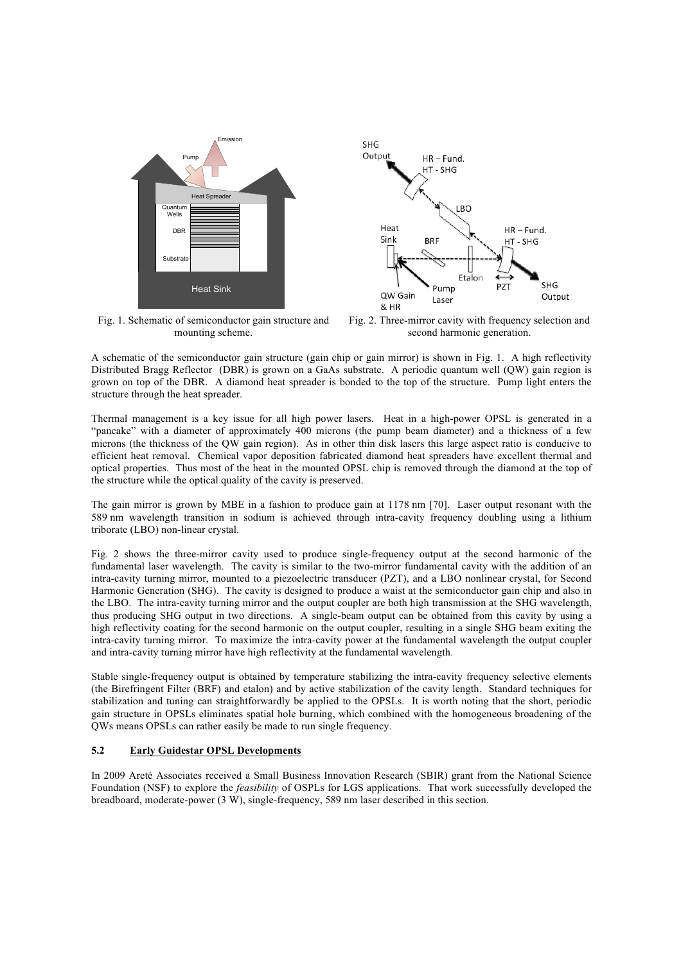





Fig. 2. Three-mirror cavity with frequency selection and second harmonic generation.

A schematic of the semiconductor gain structure (gain chip or gain mirror) is shown in Fig. 1. A high reflectivity Distributed Bragg Reflector (DBR) is grown on a GaAs substrate. A periodic quantum well (QW) gain region is grown on top of the DBR. A diamond heat spreader is bonded to the top of the structure. Pump light enters the structure through the heat spreader.

Thermal management is a key issue for all high power lasers. Heat in a high-power OPSL is generated in a "pancake" with a diameter of approximately 400 microns (the pump beam diameter) and a thickness of a few microns (the thickness of the QW gain region). As in other thin disk lasers this large aspect ratio is conducive to efficient heat removal. Chemical vapor deposition fabricated diamond heat spreaders have excellent thermal and optical properties. Thus most of the heat in the mounted OPSL chip is removed through the diamond at the top of the structure while the optical quality of the cavity is preserved.

The gain mirror is grown by MBE in a fashion to produce gain at 1178 nm [70]. Laser output resonant with the 589 nm wavelength transition in sodium is achieved through intra-cavity frequency doubling using a lithium triborate (LBO) non-linear crystal.

Fig. 2 shows the three-mirror cavity used to produce single-frequency output at the second harmonic of the fundamental laser wavelength. The cavity is similar to the two-mirror fundamental cavity with the addition of an intra-cavity turning mirror, mounted to a piezoelectric transducer (PZT), and a LBO nonlinear crystal, for Second Harmonic Generation (SHG). The cavity is designed to produce a waist at the semiconductor gain chip and also in the LBO. The intra-cavity turning mirror and the output coupler are both high transmission at the SHG wavelength, thus producing SHG output in two directions. A single-beam output can be obtained from this cavity by using a high reflectivity coating for the second harmonic on the output coupler, resulting in a single SHG beam exiting the intra-cavity turning mirror. To maximize the intra-cavity power at the fundamental wavelength the output coupler and intra-cavity turning mirror have high reflectivity at the fundamental wavelength.

Stable single-frequency output is obtained by temperature stabilizing the intra-cavity frequency selective elements (the Birefringent Filter (BRF) and etalon) and by active stabilization of the cavity length. Standard techniques for stabilization and tuning can straightforwardly be applied to the OPSLs. It is worth noting that the short, periodic gain structure in OPSLs eliminates spatial hole burning, which combined with the homogeneous broadening of the QWs means OPSLs can rather easily be made to run single frequency.

# **5.2 Early Guidestar OPSL Developments**

In 2009 Areté Associates received a Small Business Innovation Research (SBIR) grant from the National Science Foundation (NSF) to explore the *feasibility* of OSPLs for LGS applications. That work successfully developed the breadboard, moderate-power (3 W), single-frequency, 589 nm laser described in this section.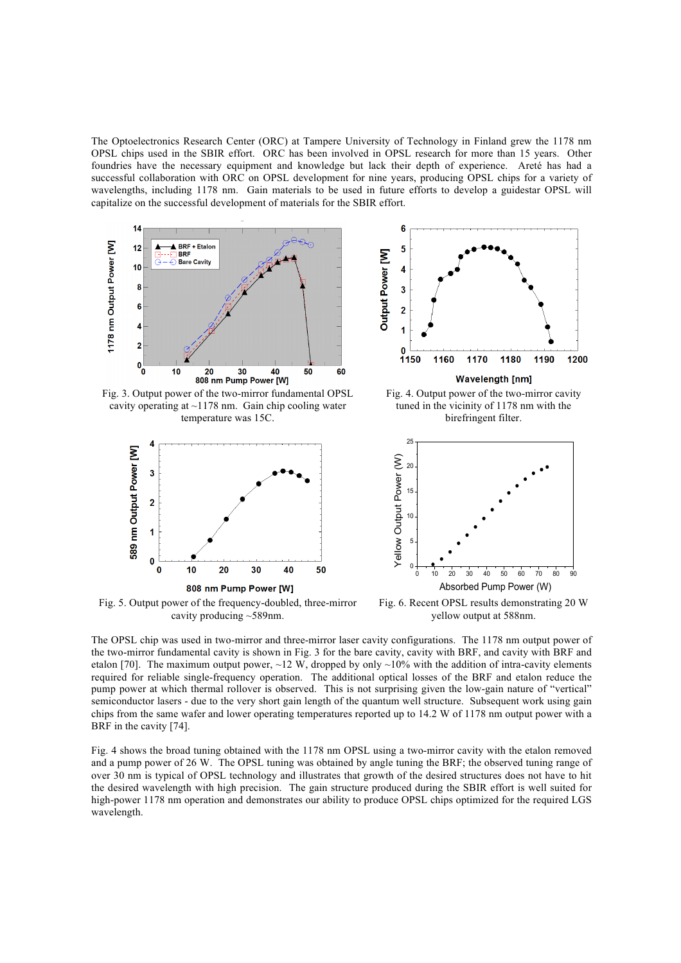The Optoelectronics Research Center (ORC) at Tampere University of Technology in Finland grew the 1178 nm OPSL chips used in the SBIR effort. ORC has been involved in OPSL research for more than 15 years. Other foundries have the necessary equipment and knowledge but lack their depth of experience. Areté has had a successful collaboration with ORC on OPSL development for nine years, producing OPSL chips for a variety of wavelengths, including 1178 nm. Gain materials to be used in future efforts to develop a guidestar OPSL will capitalize on the successful development of materials for the SBIR effort.



Fig. 3. Output power of the two-mirror fundamental OPSL cavity operating at ~1178 nm. Gain chip cooling water temperature was 15C.



Fig. 5. Output power of the frequency-doubled, three-mirror cavity producing ~589nm.



Fig. 4. Output power of the two-mirror cavity tuned in the vicinity of 1178 nm with the birefringent filter.



Fig. 6. Recent OPSL results demonstrating 20 W yellow output at 588nm.

The OPSL chip was used in two-mirror and three-mirror laser cavity configurations. The 1178 nm output power of the two-mirror fundamental cavity is shown in Fig. 3 for the bare cavity, cavity with BRF, and cavity with BRF and etalon [70]. The maximum output power,  $\sim$  12 W, dropped by only  $\sim$  10% with the addition of intra-cavity elements required for reliable single-frequency operation. The additional optical losses of the BRF and etalon reduce the pump power at which thermal rollover is observed. This is not surprising given the low-gain nature of "vertical" semiconductor lasers - due to the very short gain length of the quantum well structure. Subsequent work using gain chips from the same wafer and lower operating temperatures reported up to 14.2 W of 1178 nm output power with a BRF in the cavity [74].

Fig. 4 shows the broad tuning obtained with the 1178 nm OPSL using a two-mirror cavity with the etalon removed and a pump power of 26 W. The OPSL tuning was obtained by angle tuning the BRF; the observed tuning range of over 30 nm is typical of OPSL technology and illustrates that growth of the desired structures does not have to hit the desired wavelength with high precision. The gain structure produced during the SBIR effort is well suited for high-power 1178 nm operation and demonstrates our ability to produce OPSL chips optimized for the required LGS wavelength.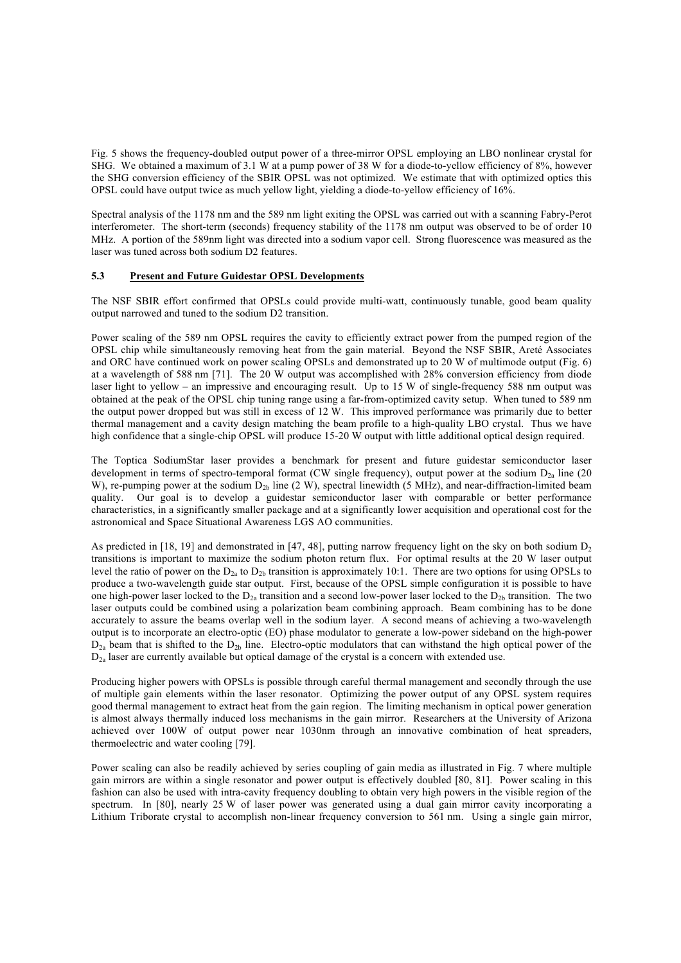Fig. 5 shows the frequency-doubled output power of a three-mirror OPSL employing an LBO nonlinear crystal for SHG. We obtained a maximum of 3.1 W at a pump power of 38 W for a diode-to-yellow efficiency of 8%, however the SHG conversion efficiency of the SBIR OPSL was not optimized. We estimate that with optimized optics this OPSL could have output twice as much yellow light, yielding a diode-to-yellow efficiency of 16%.

Spectral analysis of the 1178 nm and the 589 nm light exiting the OPSL was carried out with a scanning Fabry-Perot interferometer. The short-term (seconds) frequency stability of the 1178 nm output was observed to be of order 10 MHz. A portion of the 589nm light was directed into a sodium vapor cell. Strong fluorescence was measured as the laser was tuned across both sodium D2 features.

## **5.3 Present and Future Guidestar OPSL Developments**

The NSF SBIR effort confirmed that OPSLs could provide multi-watt, continuously tunable, good beam quality output narrowed and tuned to the sodium D2 transition.

Power scaling of the 589 nm OPSL requires the cavity to efficiently extract power from the pumped region of the OPSL chip while simultaneously removing heat from the gain material. Beyond the NSF SBIR, Areté Associates and ORC have continued work on power scaling OPSLs and demonstrated up to 20 W of multimode output (Fig. 6) at a wavelength of 588 nm [71]. The 20 W output was accomplished with 28% conversion efficiency from diode laser light to yellow – an impressive and encouraging result. Up to 15 W of single-frequency 588 nm output was obtained at the peak of the OPSL chip tuning range using a far-from-optimized cavity setup. When tuned to 589 nm the output power dropped but was still in excess of 12 W. This improved performance was primarily due to better thermal management and a cavity design matching the beam profile to a high-quality LBO crystal. Thus we have high confidence that a single-chip OPSL will produce 15-20 W output with little additional optical design required.

The Toptica SodiumStar laser provides a benchmark for present and future guidestar semiconductor laser development in terms of spectro-temporal format (CW single frequency), output power at the sodium D<sub>2a</sub> line (20 W), re-pumping power at the sodium  $D_{2b}$  line (2 W), spectral linewidth (5 MHz), and near-diffraction-limited beam quality. Our goal is to develop a guidestar semiconductor laser with comparable or better performance characteristics, in a significantly smaller package and at a significantly lower acquisition and operational cost for the astronomical and Space Situational Awareness LGS AO communities.

As predicted in [18, 19] and demonstrated in [47, 48], putting narrow frequency light on the sky on both sodium  $D_2$ transitions is important to maximize the sodium photon return flux. For optimal results at the 20 W laser output level the ratio of power on the  $D_{2a}$  to  $D_{2b}$  transition is approximately 10:1. There are two options for using OPSLs to produce a two-wavelength guide star output. First, because of the OPSL simple configuration it is possible to have one high-power laser locked to the  $D_{2a}$  transition and a second low-power laser locked to the  $D_{2b}$  transition. The two laser outputs could be combined using a polarization beam combining approach. Beam combining has to be done accurately to assure the beams overlap well in the sodium layer. A second means of achieving a two-wavelength output is to incorporate an electro-optic (EO) phase modulator to generate a low-power sideband on the high-power  $D_{2a}$  beam that is shifted to the  $D_{2b}$  line. Electro-optic modulators that can withstand the high optical power of the  $D_{2a}$  laser are currently available but optical damage of the crystal is a concern with extended use.

Producing higher powers with OPSLs is possible through careful thermal management and secondly through the use of multiple gain elements within the laser resonator. Optimizing the power output of any OPSL system requires good thermal management to extract heat from the gain region. The limiting mechanism in optical power generation is almost always thermally induced loss mechanisms in the gain mirror. Researchers at the University of Arizona achieved over 100W of output power near 1030nm through an innovative combination of heat spreaders, thermoelectric and water cooling [79].

Power scaling can also be readily achieved by series coupling of gain media as illustrated in Fig. 7 where multiple gain mirrors are within a single resonator and power output is effectively doubled [80, 81]. Power scaling in this fashion can also be used with intra-cavity frequency doubling to obtain very high powers in the visible region of the spectrum. In [80], nearly 25 W of laser power was generated using a dual gain mirror cavity incorporating a Lithium Triborate crystal to accomplish non-linear frequency conversion to 561 nm. Using a single gain mirror,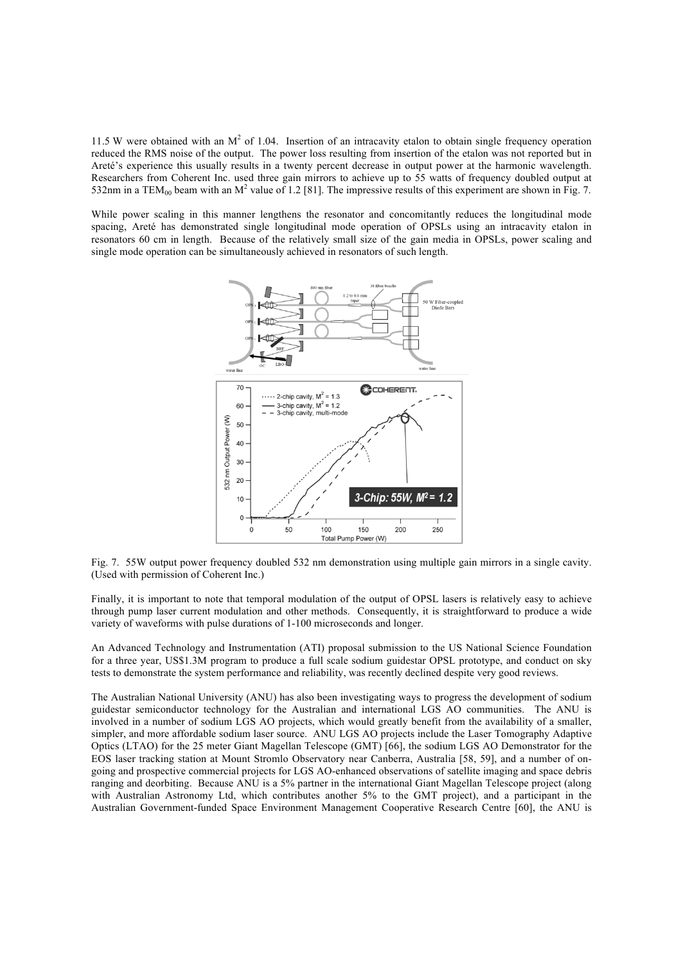11.5 W were obtained with an  $M<sup>2</sup>$  of 1.04. Insertion of an intracavity etalon to obtain single frequency operation reduced the RMS noise of the output. The power loss resulting from insertion of the etalon was not reported but in Areté's experience this usually results in a twenty percent decrease in output power at the harmonic wavelength. Researchers from Coherent Inc. used three gain mirrors to achieve up to 55 watts of frequency doubled output at 532nm in a TEM<sub>00</sub> beam with an M<sup>2</sup> value of 1.2 [81]. The impressive results of this experiment are shown in Fig. 7.

While power scaling in this manner lengthens the resonator and concomitantly reduces the longitudinal mode spacing, Areté has demonstrated single longitudinal mode operation of OPSLs using an intracavity etalon in resonators 60 cm in length. Because of the relatively small size of the gain media in OPSLs, power scaling and single mode operation can be simultaneously achieved in resonators of such length.



Fig. 7. 55W output power frequency doubled 532 nm demonstration using multiple gain mirrors in a single cavity. (Used with permission of Coherent Inc.)

Finally, it is important to note that temporal modulation of the output of OPSL lasers is relatively easy to achieve through pump laser current modulation and other methods. Consequently, it is straightforward to produce a wide variety of waveforms with pulse durations of 1-100 microseconds and longer.

An Advanced Technology and Instrumentation (ATI) proposal submission to the US National Science Foundation for a three year, US\$1.3M program to produce a full scale sodium guidestar OPSL prototype, and conduct on sky tests to demonstrate the system performance and reliability, was recently declined despite very good reviews.

The Australian National University (ANU) has also been investigating ways to progress the development of sodium guidestar semiconductor technology for the Australian and international LGS AO communities. The ANU is involved in a number of sodium LGS AO projects, which would greatly benefit from the availability of a smaller, simpler, and more affordable sodium laser source. ANU LGS AO projects include the Laser Tomography Adaptive Optics (LTAO) for the 25 meter Giant Magellan Telescope (GMT) [66], the sodium LGS AO Demonstrator for the EOS laser tracking station at Mount Stromlo Observatory near Canberra, Australia [58, 59], and a number of ongoing and prospective commercial projects for LGS AO-enhanced observations of satellite imaging and space debris ranging and deorbiting. Because ANU is a 5% partner in the international Giant Magellan Telescope project (along with Australian Astronomy Ltd, which contributes another 5% to the GMT project), and a participant in the Australian Government-funded Space Environment Management Cooperative Research Centre [60], the ANU is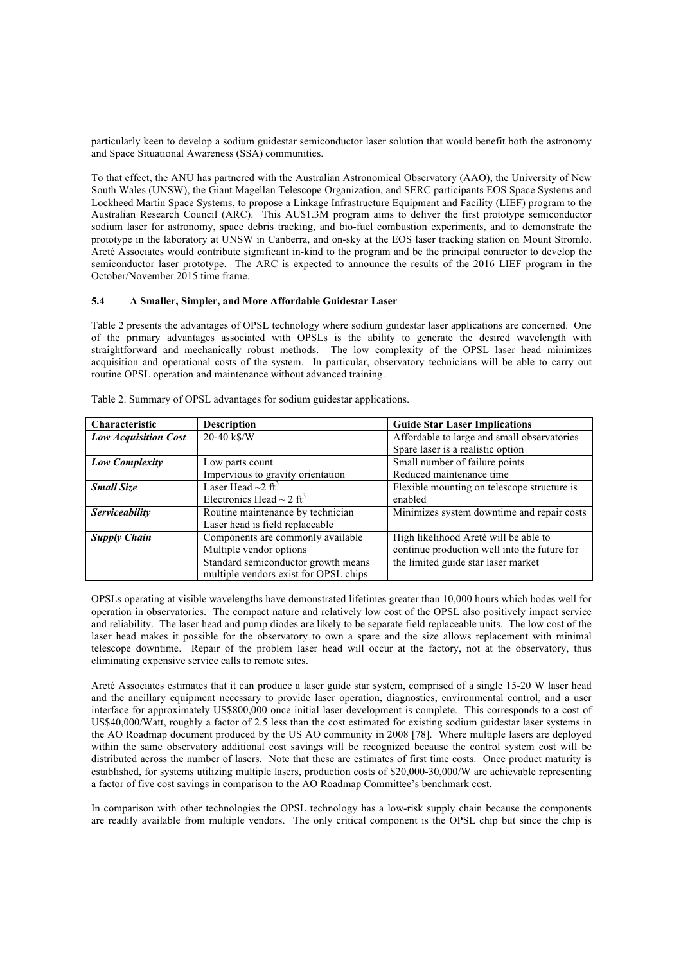particularly keen to develop a sodium guidestar semiconductor laser solution that would benefit both the astronomy and Space Situational Awareness (SSA) communities.

To that effect, the ANU has partnered with the Australian Astronomical Observatory (AAO), the University of New South Wales (UNSW), the Giant Magellan Telescope Organization, and SERC participants EOS Space Systems and Lockheed Martin Space Systems, to propose a Linkage Infrastructure Equipment and Facility (LIEF) program to the Australian Research Council (ARC). This AU\$1.3M program aims to deliver the first prototype semiconductor sodium laser for astronomy, space debris tracking, and bio-fuel combustion experiments, and to demonstrate the prototype in the laboratory at UNSW in Canberra, and on-sky at the EOS laser tracking station on Mount Stromlo. Areté Associates would contribute significant in-kind to the program and be the principal contractor to develop the semiconductor laser prototype. The ARC is expected to announce the results of the 2016 LIEF program in the October/November 2015 time frame.

#### **5.4 A Smaller, Simpler, and More Affordable Guidestar Laser**

Table 2 presents the advantages of OPSL technology where sodium guidestar laser applications are concerned. One of the primary advantages associated with OPSLs is the ability to generate the desired wavelength with straightforward and mechanically robust methods. The low complexity of the OPSL laser head minimizes acquisition and operational costs of the system. In particular, observatory technicians will be able to carry out routine OPSL operation and maintenance without advanced training.

| Characteristic              | <b>Description</b>                        | <b>Guide Star Laser Implications</b>         |
|-----------------------------|-------------------------------------------|----------------------------------------------|
| <b>Low Acquisition Cost</b> | $20 - 40$ kS/W                            | Affordable to large and small observatories  |
|                             |                                           | Spare laser is a realistic option            |
| Low Complexity              | Low parts count                           | Small number of failure points               |
|                             | Impervious to gravity orientation         | Reduced maintenance time                     |
| <b>Small Size</b>           | Laser Head $\sim$ 2 ft <sup>3</sup>       | Flexible mounting on telescope structure is  |
|                             | Electronics Head $\sim$ 2 ft <sup>3</sup> | enabled                                      |
| <b>Serviceability</b>       | Routine maintenance by technician         | Minimizes system downtime and repair costs   |
|                             | Laser head is field replaceable           |                                              |
| <b>Supply Chain</b>         | Components are commonly available         | High likelihood Areté will be able to        |
|                             | Multiple vendor options                   | continue production well into the future for |
|                             | Standard semiconductor growth means       | the limited guide star laser market          |
|                             | multiple vendors exist for OPSL chips     |                                              |

Table 2. Summary of OPSL advantages for sodium guidestar applications.

OPSLs operating at visible wavelengths have demonstrated lifetimes greater than 10,000 hours which bodes well for operation in observatories. The compact nature and relatively low cost of the OPSL also positively impact service and reliability. The laser head and pump diodes are likely to be separate field replaceable units. The low cost of the laser head makes it possible for the observatory to own a spare and the size allows replacement with minimal telescope downtime. Repair of the problem laser head will occur at the factory, not at the observatory, thus eliminating expensive service calls to remote sites.

Areté Associates estimates that it can produce a laser guide star system, comprised of a single 15-20 W laser head and the ancillary equipment necessary to provide laser operation, diagnostics, environmental control, and a user interface for approximately US\$800,000 once initial laser development is complete. This corresponds to a cost of US\$40,000/Watt, roughly a factor of 2.5 less than the cost estimated for existing sodium guidestar laser systems in the AO Roadmap document produced by the US AO community in 2008 [78]. Where multiple lasers are deployed within the same observatory additional cost savings will be recognized because the control system cost will be distributed across the number of lasers. Note that these are estimates of first time costs. Once product maturity is established, for systems utilizing multiple lasers, production costs of \$20,000-30,000/W are achievable representing a factor of five cost savings in comparison to the AO Roadmap Committee's benchmark cost.

In comparison with other technologies the OPSL technology has a low-risk supply chain because the components are readily available from multiple vendors. The only critical component is the OPSL chip but since the chip is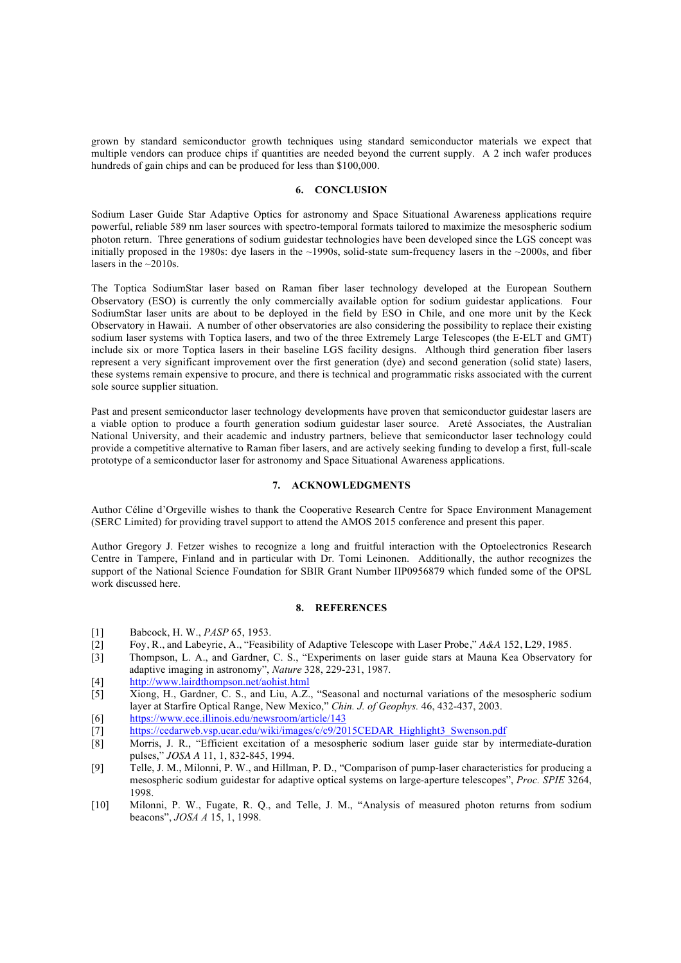grown by standard semiconductor growth techniques using standard semiconductor materials we expect that multiple vendors can produce chips if quantities are needed beyond the current supply. A 2 inch wafer produces hundreds of gain chips and can be produced for less than \$100,000.

### **6. CONCLUSION**

Sodium Laser Guide Star Adaptive Optics for astronomy and Space Situational Awareness applications require powerful, reliable 589 nm laser sources with spectro-temporal formats tailored to maximize the mesospheric sodium photon return. Three generations of sodium guidestar technologies have been developed since the LGS concept was initially proposed in the 1980s: dye lasers in the  $\sim$ 1990s, solid-state sum-frequency lasers in the  $\sim$ 2000s, and fiber lasers in the  $\sim$ 2010s.

The Toptica SodiumStar laser based on Raman fiber laser technology developed at the European Southern Observatory (ESO) is currently the only commercially available option for sodium guidestar applications. Four SodiumStar laser units are about to be deployed in the field by ESO in Chile, and one more unit by the Keck Observatory in Hawaii. A number of other observatories are also considering the possibility to replace their existing sodium laser systems with Toptica lasers, and two of the three Extremely Large Telescopes (the E-ELT and GMT) include six or more Toptica lasers in their baseline LGS facility designs. Although third generation fiber lasers represent a very significant improvement over the first generation (dye) and second generation (solid state) lasers, these systems remain expensive to procure, and there is technical and programmatic risks associated with the current sole source supplier situation.

Past and present semiconductor laser technology developments have proven that semiconductor guidestar lasers are a viable option to produce a fourth generation sodium guidestar laser source. Areté Associates, the Australian National University, and their academic and industry partners, believe that semiconductor laser technology could provide a competitive alternative to Raman fiber lasers, and are actively seeking funding to develop a first, full-scale prototype of a semiconductor laser for astronomy and Space Situational Awareness applications.

# **7. ACKNOWLEDGMENTS**

Author Céline d'Orgeville wishes to thank the Cooperative Research Centre for Space Environment Management (SERC Limited) for providing travel support to attend the AMOS 2015 conference and present this paper.

Author Gregory J. Fetzer wishes to recognize a long and fruitful interaction with the Optoelectronics Research Centre in Tampere, Finland and in particular with Dr. Tomi Leinonen. Additionally, the author recognizes the support of the National Science Foundation for SBIR Grant Number IIP0956879 which funded some of the OPSL work discussed here.

## **8. REFERENCES**

- [1] Babcock, H. W., *PASP* 65, 1953.
- [2] Foy, R., and Labeyrie, A., "Feasibility of Adaptive Telescope with Laser Probe," *A&A* 152, L29, 1985.
- [3] Thompson, L. A., and Gardner, C. S., "Experiments on laser guide stars at Mauna Kea Observatory for adaptive imaging in astronomy", *Nature* 328, 229-231, 1987.
- [4] http://www.lairdthompson.net/aohist.html
- [5] Xiong, H., Gardner, C. S., and Liu, A.Z., "Seasonal and nocturnal variations of the mesospheric sodium layer at Starfire Optical Range, New Mexico," *Chin. J. of Geophys.* 46, 432-437, 2003.
- [6] https://www.ece.illinois.edu/newsroom/article/143
- [7] https://cedarweb.vsp.ucar.edu/wiki/images/c/c9/2015CEDAR\_Highlight3\_Swenson.pdf
- [8] Morris, J. R., "Efficient excitation of a mesospheric sodium laser guide star by intermediate-duration pulses," *JOSA A* 11, 1, 832-845, 1994.
- [9] Telle, J. M., Milonni, P. W., and Hillman, P. D., "Comparison of pump-laser characteristics for producing a mesospheric sodium guidestar for adaptive optical systems on large-aperture telescopes", *Proc. SPIE* 3264, 1998.
- [10] Milonni, P. W., Fugate, R. Q., and Telle, J. M., "Analysis of measured photon returns from sodium beacons", *JOSA A* 15, 1, 1998.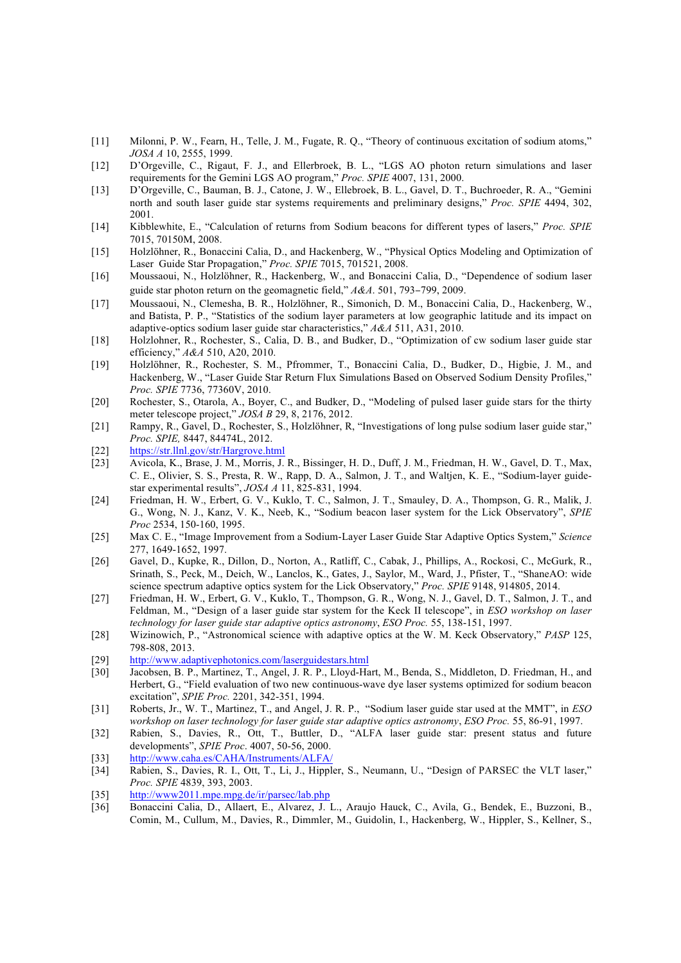- [11] Milonni, P. W., Fearn, H., Telle, J. M., Fugate, R. Q., "Theory of continuous excitation of sodium atoms," *JOSA A* 10, 2555, 1999.
- [12] D'Orgeville, C., Rigaut, F. J., and Ellerbroek, B. L., "LGS AO photon return simulations and laser requirements for the Gemini LGS AO program," *Proc. SPIE* 4007, 131, 2000.
- [13] D'Orgeville, C., Bauman, B. J., Catone, J. W., Ellebroek, B. L., Gavel, D. T., Buchroeder, R. A., "Gemini north and south laser guide star systems requirements and preliminary designs," *Proc. SPIE* 4494, 302, 2001.
- [14] Kibblewhite, E., "Calculation of returns from Sodium beacons for different types of lasers," *Proc. SPIE* 7015, 70150M, 2008.
- [15] Holzlöhner, R., Bonaccini Calia, D., and Hackenberg, W., "Physical Optics Modeling and Optimization of Laser Guide Star Propagation," *Proc. SPIE* 7015, 701521, 2008.
- [16] Moussaoui, N., Holzlöhner, R., Hackenberg, W., and Bonaccini Calia, D., "Dependence of sodium laser guide star photon return on the geomagnetic field," *A&A*. 501, 793-799, 2009.
- [17] Moussaoui, N., Clemesha, B. R., Holzlöhner, R., Simonich, D. M., Bonaccini Calia, D., Hackenberg, W., and Batista, P. P., "Statistics of the sodium layer parameters at low geographic latitude and its impact on adaptive-optics sodium laser guide star characteristics," *A&A* 511, A31, 2010.
- [18] Holzlohner, R., Rochester, S., Calia, D. B., and Budker, D., "Optimization of cw sodium laser guide star efficiency," *A&A* 510, A20, 2010.
- [19] Holzlöhner, R., Rochester, S. M., Pfrommer, T., Bonaccini Calia, D., Budker, D., Higbie, J. M., and Hackenberg, W., "Laser Guide Star Return Flux Simulations Based on Observed Sodium Density Profiles," *Proc. SPIE* 7736, 77360V, 2010.
- [20] Rochester, S., Otarola, A., Boyer, C., and Budker, D., "Modeling of pulsed laser guide stars for the thirty meter telescope project," *JOSA B* 29, 8, 2176, 2012.
- [21] Rampy, R., Gavel, D., Rochester, S., Holzlöhner, R, "Investigations of long pulse sodium laser guide star," *Proc. SPIE,* 8447, 84474L, 2012.
- [22] https://str.llnl.gov/str/Hargrove.html
- [23] Avicola, K., Brase, J. M., Morris, J. R., Bissinger, H. D., Duff, J. M., Friedman, H. W., Gavel, D. T., Max, C. E., Olivier, S. S., Presta, R. W., Rapp, D. A., Salmon, J. T., and Waltjen, K. E., "Sodium-layer guidestar experimental results", *JOSA A* 11, 825-831, 1994.
- [24] Friedman, H. W., Erbert, G. V., Kuklo, T. C., Salmon, J. T., Smauley, D. A., Thompson, G. R., Malik, J. G., Wong, N. J., Kanz, V. K., Neeb, K., "Sodium beacon laser system for the Lick Observatory", *SPIE Proc* 2534, 150-160, 1995.
- [25] Max C. E., "Image Improvement from a Sodium-Layer Laser Guide Star Adaptive Optics System," *Science* 277, 1649-1652, 1997.
- [26] Gavel, D., Kupke, R., Dillon, D., Norton, A., Ratliff, C., Cabak, J., Phillips, A., Rockosi, C., McGurk, R., Srinath, S., Peck, M., Deich, W., Lanclos, K., Gates, J., Saylor, M., Ward, J., Pfister, T., "ShaneAO: wide science spectrum adaptive optics system for the Lick Observatory," *Proc. SPIE* 9148, 914805, 2014.
- [27] Friedman, H. W., Erbert, G. V., Kuklo, T., Thompson, G. R., Wong, N. J., Gavel, D. T., Salmon, J. T., and Feldman, M., "Design of a laser guide star system for the Keck II telescope", in *ESO workshop on laser technology for laser guide star adaptive optics astronomy*, *ESO Proc.* 55, 138-151, 1997.
- [28] Wizinowich, P., "Astronomical science with adaptive optics at the W. M. Keck Observatory," *PASP* 125, 798-808, 2013.
- [29] http://www.adaptivephotonics.com/laserguidestars.html
- [30] Jacobsen, B. P., Martinez, T., Angel, J. R. P., Lloyd-Hart, M., Benda, S., Middleton, D. Friedman, H., and Herbert, G., "Field evaluation of two new continuous-wave dye laser systems optimized for sodium beacon excitation", *SPIE Proc.* 2201, 342-351, 1994.
- [31] Roberts, Jr., W. T., Martinez, T., and Angel, J. R. P., "Sodium laser guide star used at the MMT", in *ESO workshop on laser technology for laser guide star adaptive optics astronomy*, *ESO Proc.* 55, 86-91, 1997.
- [32] Rabien, S., Davies, R., Ott, T., Buttler, D., "ALFA laser guide star: present status and future developments", *SPIE Proc*. 4007, 50-56, 2000.
- [33] http://www.caha.es/CAHA/Instruments/ALFA/
- [34] Rabien, S., Davies, R. I., Ott, T., Li, J., Hippler, S., Neumann, U., "Design of PARSEC the VLT laser," *Proc. SPIE* 4839, 393, 2003.
- [35] http://www2011.mpe.mpg.de/ir/parsec/lab.php
- [36] Bonaccini Calia, D., Allaert, E., Alvarez, J. L., Araujo Hauck, C., Avila, G., Bendek, E., Buzzoni, B., Comin, M., Cullum, M., Davies, R., Dimmler, M., Guidolin, I., Hackenberg, W., Hippler, S., Kellner, S.,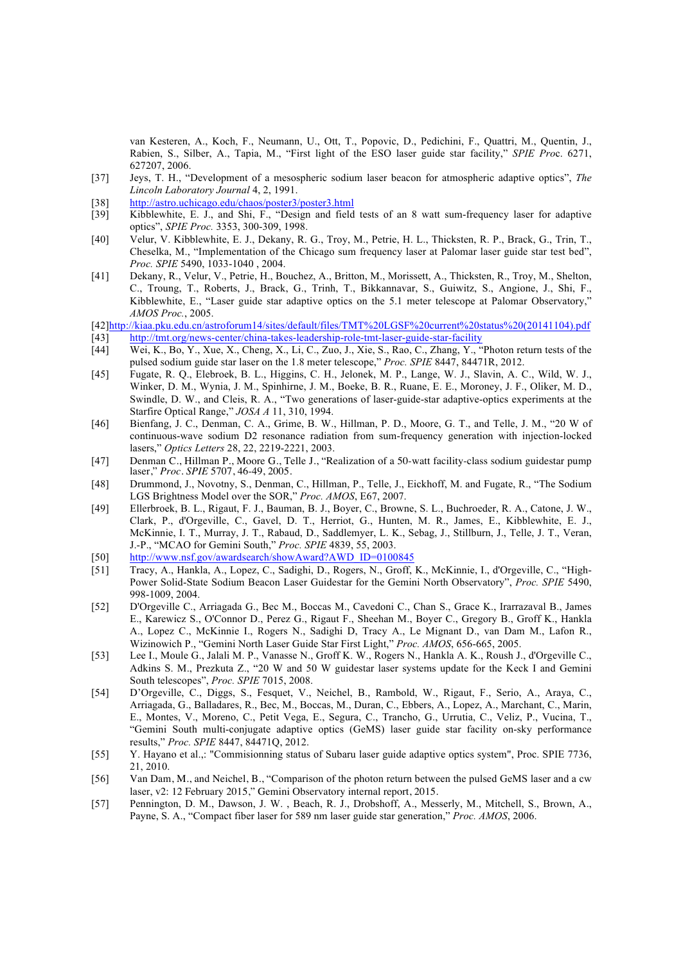van Kesteren, A., Koch, F., Neumann, U., Ott, T., Popovic, D., Pedichini, F., Quattri, M., Quentin, J., Rabien, S., Silber, A., Tapia, M., "First light of the ESO laser guide star facility," *SPIE Pro*c. 6271, 627207, 2006.

- [37] Jeys, T. H., "Development of a mesospheric sodium laser beacon for atmospheric adaptive optics", *The Lincoln Laboratory Journal* 4, 2, 1991.
- [38] http://astro.uchicago.edu/chaos/poster3/poster3.html
- [39] Kibblewhite, E. J., and Shi, F., "Design and field tests of an 8 watt sum-frequency laser for adaptive optics", *SPIE Proc.* 3353, 300-309, 1998.
- [40] Velur, V. Kibblewhite, E. J., Dekany, R. G., Troy, M., Petrie, H. L., Thicksten, R. P., Brack, G., Trin, T., Cheselka, M., "Implementation of the Chicago sum frequency laser at Palomar laser guide star test bed", *Proc. SPIE* 5490, 1033-1040 , 2004.
- [41] Dekany, R., Velur, V., Petrie, H., Bouchez, A., Britton, M., Morissett, A., Thicksten, R., Troy, M., Shelton, C., Troung, T., Roberts, J., Brack, G., Trinh, T., Bikkannavar, S., Guiwitz, S., Angione, J., Shi, F., Kibblewhite, E., "Laser guide star adaptive optics on the 5.1 meter telescope at Palomar Observatory," *AMOS Proc.*, 2005.
- [42]http://kiaa.pku.edu.cn/astroforum14/sites/default/files/TMT%20LGSF%20current%20status%20(20141104).pdf [43] http://tmt.org/news-center/china-takes-leadership-role-tmt-laser-guide-star-facility
- [44] Wei, K., Bo, Y., Xue, X., Cheng, X., Li, C., Zuo, J., Xie, S., Rao, C., Zhang, Y., "Photon return tests of the pulsed sodium guide star laser on the 1.8 meter telescope," *Proc. SPIE* 8447, 84471R, 2012.
- [45] Fugate, R. Q., Elebroek, B. L., Higgins, C. H., Jelonek, M. P., Lange, W. J., Slavin, A. C., Wild, W. J., Winker, D. M., Wynia, J. M., Spinhirne, J. M., Boeke, B. R., Ruane, E. E., Moroney, J. F., Oliker, M. D., Swindle, D. W., and Cleis, R. A., "Two generations of laser-guide-star adaptive-optics experiments at the Starfire Optical Range," *JOSA A* 11, 310, 1994.
- [46] Bienfang, J. C., Denman, C. A., Grime, B. W., Hillman, P. D., Moore, G. T., and Telle, J. M., "20 W of continuous-wave sodium D2 resonance radiation from sum-frequency generation with injection-locked lasers," *Optics Letters* 28, 22, 2219-2221, 2003.
- [47] Denman C., Hillman P., Moore G., Telle J., "Realization of a 50-watt facility-class sodium guidestar pump laser," *Proc. SPIE* 5707, 46-49, 2005.
- [48] Drummond, J., Novotny, S., Denman, C., Hillman, P., Telle, J., Eickhoff, M. and Fugate, R., "The Sodium LGS Brightness Model over the SOR," *Proc. AMOS*, E67, 2007.
- [49] Ellerbroek, B. L., Rigaut, F. J., Bauman, B. J., Boyer, C., Browne, S. L., Buchroeder, R. A., Catone, J. W., Clark, P., d'Orgeville, C., Gavel, D. T., Herriot, G., Hunten, M. R., James, E., Kibblewhite, E. J., McKinnie, I. T., Murray, J. T., Rabaud, D., Saddlemyer, L. K., Sebag, J., Stillburn, J., Telle, J. T., Veran, J.-P., "MCAO for Gemini South," *Proc. SPIE* 4839, 55, 2003.
- [50] http://www.nsf.gov/awardsearch/showAward?AWD\_ID=0100845
- [51] Tracy, A., Hankla, A., Lopez, C., Sadighi, D., Rogers, N., Groff, K., McKinnie, I., d'Orgeville, C., "High-Power Solid-State Sodium Beacon Laser Guidestar for the Gemini North Observatory", *Proc. SPIE* 5490, 998-1009, 2004.
- [52] D'Orgeville C., Arriagada G., Bec M., Boccas M., Cavedoni C., Chan S., Grace K., Irarrazaval B., James E., Karewicz S., O'Connor D., Perez G., Rigaut F., Sheehan M., Boyer C., Gregory B., Groff K., Hankla A., Lopez C., McKinnie I., Rogers N., Sadighi D, Tracy A., Le Mignant D., van Dam M., Lafon R., Wizinowich P., "Gemini North Laser Guide Star First Light," *Proc. AMOS*, 656-665, 2005.
- [53] Lee I., Moule G., Jalali M. P., Vanasse N., Groff K. W., Rogers N., Hankla A. K., Roush J., d'Orgeville C., Adkins S. M., Prezkuta Z., "20 W and 50 W guidestar laser systems update for the Keck I and Gemini South telescopes", *Proc. SPIE* 7015, 2008.
- [54] D'Orgeville, C., Diggs, S., Fesquet, V., Neichel, B., Rambold, W., Rigaut, F., Serio, A., Araya, C., Arriagada, G., Balladares, R., Bec, M., Boccas, M., Duran, C., Ebbers, A., Lopez, A., Marchant, C., Marin, E., Montes, V., Moreno, C., Petit Vega, E., Segura, C., Trancho, G., Urrutia, C., Veliz, P., Vucina, T., "Gemini South multi-conjugate adaptive optics (GeMS) laser guide star facility on-sky performance results," *Proc. SPIE* 8447, 84471Q, 2012.
- [55] Y. Hayano et al.,: "Commisionning status of Subaru laser guide adaptive optics system", Proc. SPIE 7736, 21, 2010.
- [56] Van Dam, M., and Neichel, B., "Comparison of the photon return between the pulsed GeMS laser and a cw laser, v2: 12 February 2015," Gemini Observatory internal report, 2015.
- [57] Pennington, D. M., Dawson, J. W. , Beach, R. J., Drobshoff, A., Messerly, M., Mitchell, S., Brown, A., Payne, S. A., "Compact fiber laser for 589 nm laser guide star generation," *Proc. AMOS*, 2006.